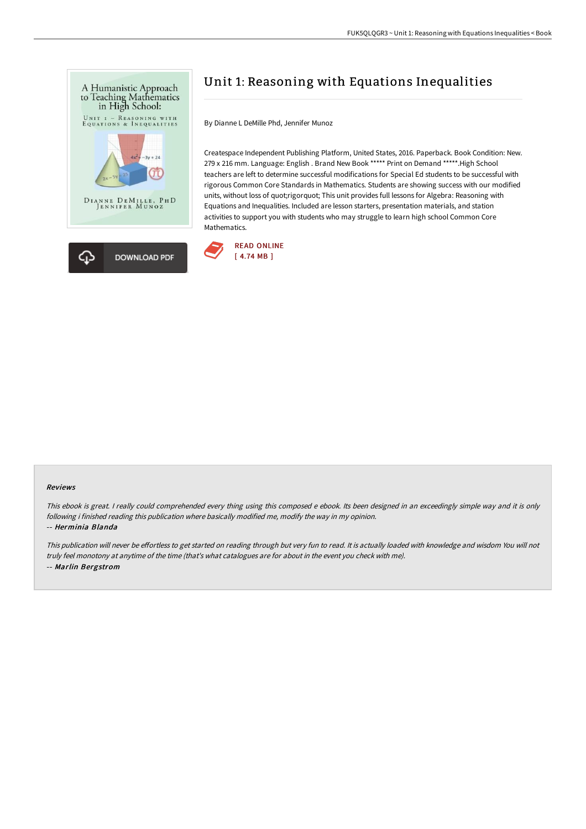

# Unit 1: Reasoning with Equations Inequalities

By Dianne L DeMille Phd, Jennifer Munoz

Createspace Independent Publishing Platform, United States, 2016. Paperback. Book Condition: New. 279 x 216 mm. Language: English . Brand New Book \*\*\*\*\* Print on Demand \*\*\*\*\*.High School teachers are left to determine successful modifications for Special Ed students to be successful with rigorous Common Core Standards in Mathematics. Students are showing success with our modified units, without loss of quot;rigorquot; This unit provides full lessons for Algebra: Reasoning with Equations and Inequalities. Included are lesson starters, presentation materials, and station activities to support you with students who may struggle to learn high school Common Core Mathematics.



#### Reviews

This ebook is great. I really could comprehended every thing using this composed <sup>e</sup> ebook. Its been designed in an exceedingly simple way and it is only following i finished reading this publication where basically modified me, modify the way in my opinion.

#### -- Herminia Blanda

This publication will never be effortless to get started on reading through but very fun to read. It is actually loaded with knowledge and wisdom You will not truly feel monotony at anytime of the time (that's what catalogues are for about in the event you check with me). -- Marlin Bergstrom